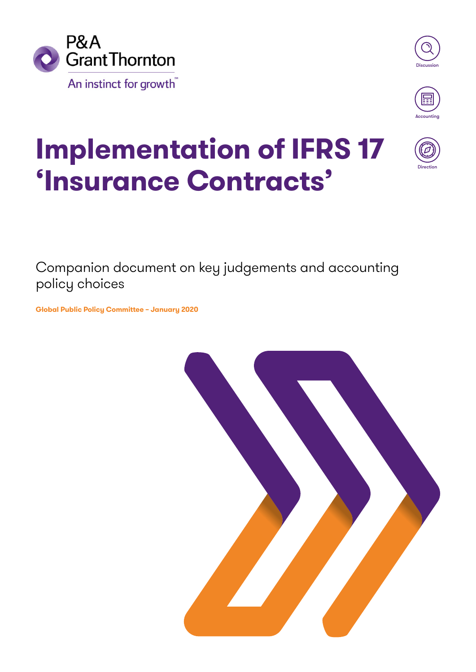





Direction

# **Implementation of IFRS 17 'Insurance Contracts'**

Companion document on key judgements and accounting policy choices

**Global Public Policy Committee – January 2020**

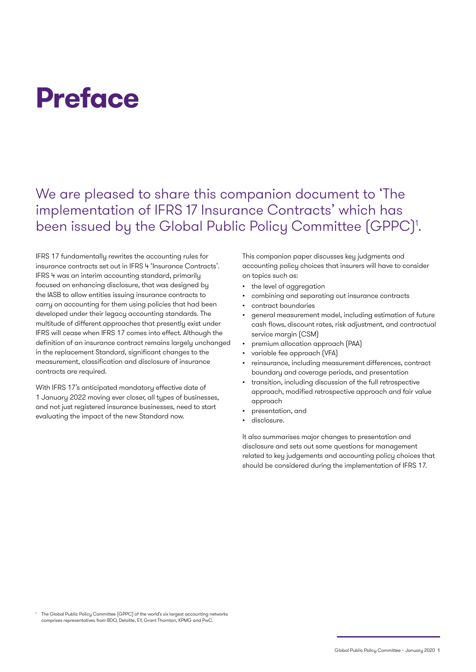# **Preface**

# We are pleased to share this companion document to 'The implementation of IFRS 17 Insurance Contracts' which has been issued by the Global Public Policy Committee (GPPC)<sup>1</sup>.

IFRS 17 fundamentally rewrites the accounting rules for insurance contracts set out in IFRS 4 'Insurance Contracts'. IFRS 4 was an interim accounting standard, primarily focused on enhancing disclosure, that was designed by the IASB to allow entities issuing insurance contracts to carry on accounting for them using policies that had been developed under their legacy accounting standards. The multitude of different approaches that presently exist under IFRS will cease when IFRS 17 comes into effect. Although the definition of an insurance contract remains largely unchanged in the replacement Standard, significant changes to the measurement, classification and disclosure of insurance contracts are required.

With IFRS 17's anticipated mandatory effective date of 1 January 2022 moving ever closer, all types of businesses, and not just registered insurance businesses, need to start evaluating the impact of the new Standard now.

This companion paper discusses key judgments and accounting policy choices that insurers will have to consider on topics such as:

- the level of aggregation
- combining and separating out insurance contracts
- contract boundaries
- general measurement model, including estimation of future cash flows, discount rates, risk adjustment, and contractual service margin (CSM)
- premium allocation approach (PAA)
- variable fee approach (VFA)
- reinsurance, including measurement differences, contract boundary and coverage periods, and presentation
- transition, including discussion of the full retrospective approach, modified retrospective approach and fair value approach
- presentation, and
- disclosure.

It also summarises major changes to presentation and disclosure and sets out some questions for management related to key judgements and accounting policy choices that should be considered during the implementation of IFRS 17.

1 The Global Public Policy Committee (GPPC) of the world's six largest accounting networks comprises representatives from BDO, Deloitte, EY, Grant Thornton, KPMG and PwC.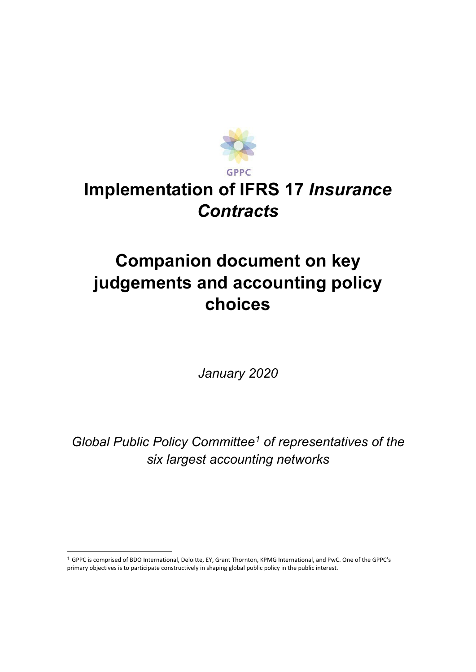

# **Implementation of IFRS 17** *Insurance Contracts*

# **Companion document on key judgements and accounting policy choices**

*January 2020*

*Global Public Policy Committee1 of representatives of the six largest accounting networks*

 <sup>1</sup> GPPC is comprised of BDO International, Deloitte, EY, Grant Thornton, KPMG International, and PwC. One of the GPPC's primary objectives is to participate constructively in shaping global public policy in the public interest.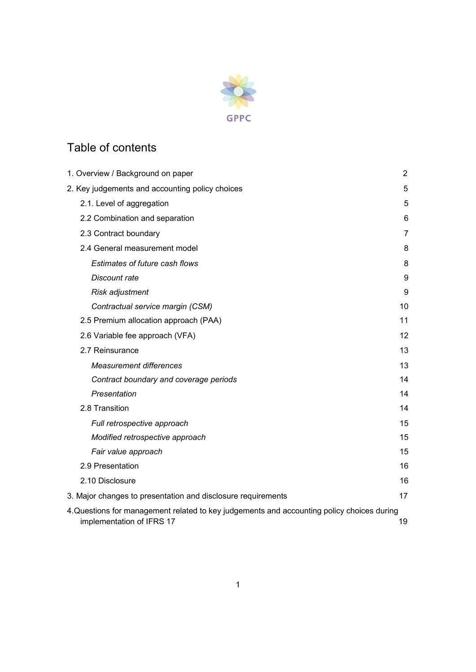

# Table of contents

| 1. Overview / Background on paper                                                                                      | 2              |
|------------------------------------------------------------------------------------------------------------------------|----------------|
| 2. Key judgements and accounting policy choices                                                                        | 5              |
| 2.1. Level of aggregation                                                                                              | 5              |
| 2.2 Combination and separation                                                                                         | 6              |
| 2.3 Contract boundary                                                                                                  | $\overline{7}$ |
| 2.4 General measurement model                                                                                          | 8              |
| Estimates of future cash flows                                                                                         | 8              |
| Discount rate                                                                                                          | 9              |
| Risk adjustment                                                                                                        | 9              |
| Contractual service margin (CSM)                                                                                       | 10             |
| 2.5 Premium allocation approach (PAA)                                                                                  | 11             |
| 2.6 Variable fee approach (VFA)                                                                                        | 12             |
| 2.7 Reinsurance                                                                                                        | 13             |
| <b>Measurement differences</b>                                                                                         | 13             |
| Contract boundary and coverage periods                                                                                 | 14             |
| Presentation                                                                                                           | 14             |
| 2.8 Transition                                                                                                         | 14             |
| Full retrospective approach                                                                                            | 15             |
| Modified retrospective approach                                                                                        | 15             |
| Fair value approach                                                                                                    | 15             |
| 2.9 Presentation                                                                                                       | 16             |
| 2.10 Disclosure                                                                                                        | 16             |
| 3. Major changes to presentation and disclosure requirements                                                           | 17             |
| 4.Questions for management related to key judgements and accounting policy choices during<br>implementation of IFRS 17 | 19             |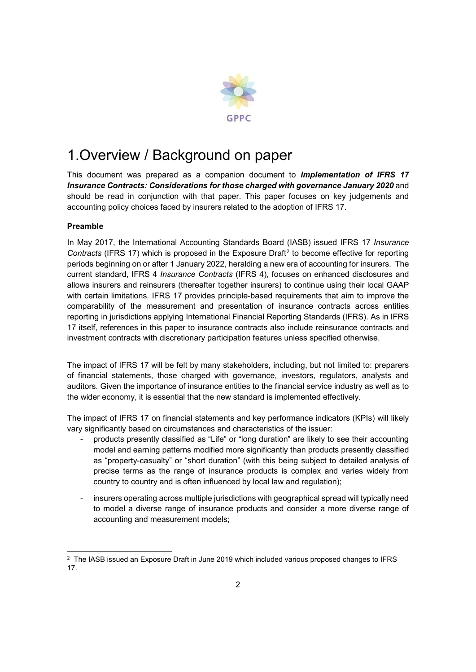

# 1.Overview / Background on paper

This document was prepared as a companion document to *Implementation of IFRS 17 Insurance Contracts: Considerations for those charged with governance January 2020* and should be read in conjunction with that paper. This paper focuses on key judgements and accounting policy choices faced by insurers related to the adoption of IFRS 17.

#### **Preamble**

In May 2017, the International Accounting Standards Board (IASB) issued IFRS 17 *Insurance Contracts* (IFRS 17) which is proposed in the Exposure Draft<sup>2</sup> to become effective for reporting periods beginning on or after 1 January 2022, heralding a new era of accounting for insurers. The current standard, IFRS 4 *Insurance Contracts* (IFRS 4), focuses on enhanced disclosures and allows insurers and reinsurers (thereafter together insurers) to continue using their local GAAP with certain limitations. IFRS 17 provides principle-based requirements that aim to improve the comparability of the measurement and presentation of insurance contracts across entities reporting in jurisdictions applying International Financial Reporting Standards (IFRS). As in IFRS 17 itself, references in this paper to insurance contracts also include reinsurance contracts and investment contracts with discretionary participation features unless specified otherwise.

The impact of IFRS 17 will be felt by many stakeholders, including, but not limited to: preparers of financial statements, those charged with governance, investors, regulators, analysts and auditors. Given the importance of insurance entities to the financial service industry as well as to the wider economy, it is essential that the new standard is implemented effectively.

The impact of IFRS 17 on financial statements and key performance indicators (KPIs) will likely vary significantly based on circumstances and characteristics of the issuer:

- products presently classified as "Life" or "long duration" are likely to see their accounting model and earning patterns modified more significantly than products presently classified as "property-casualty" or "short duration" (with this being subject to detailed analysis of precise terms as the range of insurance products is complex and varies widely from country to country and is often influenced by local law and regulation);
- insurers operating across multiple jurisdictions with geographical spread will typically need to model a diverse range of insurance products and consider a more diverse range of accounting and measurement models;

 <sup>2</sup> The IASB issued an Exposure Draft in June 2019 which included various proposed changes to IFRS 17.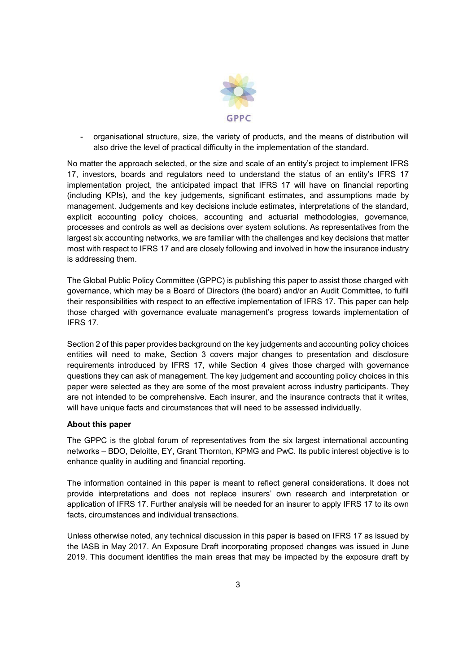

- organisational structure, size, the variety of products, and the means of distribution will also drive the level of practical difficulty in the implementation of the standard.

No matter the approach selected, or the size and scale of an entity's project to implement IFRS 17, investors, boards and regulators need to understand the status of an entity's IFRS 17 implementation project, the anticipated impact that IFRS 17 will have on financial reporting (including KPIs), and the key judgements, significant estimates, and assumptions made by management. Judgements and key decisions include estimates, interpretations of the standard, explicit accounting policy choices, accounting and actuarial methodologies, governance, processes and controls as well as decisions over system solutions. As representatives from the largest six accounting networks, we are familiar with the challenges and key decisions that matter most with respect to IFRS 17 and are closely following and involved in how the insurance industry is addressing them.

The Global Public Policy Committee (GPPC) is publishing this paper to assist those charged with governance, which may be a Board of Directors (the board) and/or an Audit Committee, to fulfil their responsibilities with respect to an effective implementation of IFRS 17. This paper can help those charged with governance evaluate management's progress towards implementation of IFRS 17.

Section 2 of this paper provides background on the key judgements and accounting policy choices entities will need to make, Section 3 covers major changes to presentation and disclosure requirements introduced by IFRS 17, while Section 4 gives those charged with governance questions they can ask of management. The key judgement and accounting policy choices in this paper were selected as they are some of the most prevalent across industry participants. They are not intended to be comprehensive. Each insurer, and the insurance contracts that it writes, will have unique facts and circumstances that will need to be assessed individually.

#### **About this paper**

The GPPC is the global forum of representatives from the six largest international accounting networks – BDO, Deloitte, EY, Grant Thornton, KPMG and PwC. Its public interest objective is to enhance quality in auditing and financial reporting.

The information contained in this paper is meant to reflect general considerations. It does not provide interpretations and does not replace insurers' own research and interpretation or application of IFRS 17. Further analysis will be needed for an insurer to apply IFRS 17 to its own facts, circumstances and individual transactions.

Unless otherwise noted, any technical discussion in this paper is based on IFRS 17 as issued by the IASB in May 2017. An Exposure Draft incorporating proposed changes was issued in June 2019. This document identifies the main areas that may be impacted by the exposure draft by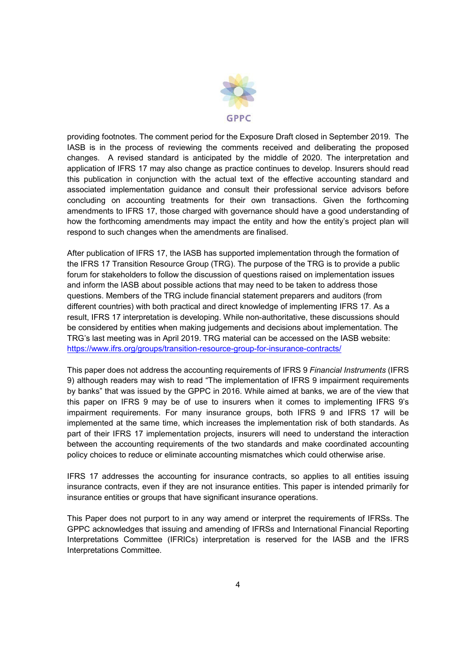

providing footnotes. The comment period for the Exposure Draft closed in September 2019. The IASB is in the process of reviewing the comments received and deliberating the proposed changes. A revised standard is anticipated by the middle of 2020. The interpretation and application of IFRS 17 may also change as practice continues to develop. Insurers should read this publication in conjunction with the actual text of the effective accounting standard and associated implementation guidance and consult their professional service advisors before concluding on accounting treatments for their own transactions. Given the forthcoming amendments to IFRS 17, those charged with governance should have a good understanding of how the forthcoming amendments may impact the entity and how the entity's project plan will respond to such changes when the amendments are finalised.

After publication of IFRS 17, the IASB has supported implementation through the formation of the IFRS 17 Transition Resource Group (TRG). The purpose of the TRG is to provide a public forum for stakeholders to follow the discussion of questions raised on implementation issues and inform the IASB about possible actions that may need to be taken to address those questions. Members of the TRG include financial statement preparers and auditors (from different countries) with both practical and direct knowledge of implementing IFRS 17. As a result, IFRS 17 interpretation is developing. While non-authoritative, these discussions should be considered by entities when making judgements and decisions about implementation. The TRG's last meeting was in April 2019. TRG material can be accessed on the IASB website: <https://www.ifrs.org/groups/transition-resource-group-for-insurance-contracts/>

This paper does not address the accounting requirements of IFRS 9 *Financial Instruments* (IFRS 9) although readers may wish to read "The implementation of IFRS 9 impairment requirements by banks" that was issued by the GPPC in 2016. While aimed at banks, we are of the view that this paper on IFRS 9 may be of use to insurers when it comes to implementing IFRS 9's impairment requirements. For many insurance groups, both IFRS 9 and IFRS 17 will be implemented at the same time, which increases the implementation risk of both standards. As part of their IFRS 17 implementation projects, insurers will need to understand the interaction between the accounting requirements of the two standards and make coordinated accounting policy choices to reduce or eliminate accounting mismatches which could otherwise arise.

IFRS 17 addresses the accounting for insurance contracts, so applies to all entities issuing insurance contracts, even if they are not insurance entities. This paper is intended primarily for insurance entities or groups that have significant insurance operations.

This Paper does not purport to in any way amend or interpret the requirements of IFRSs. The GPPC acknowledges that issuing and amending of IFRSs and International Financial Reporting Interpretations Committee (IFRICs) interpretation is reserved for the IASB and the IFRS Interpretations Committee.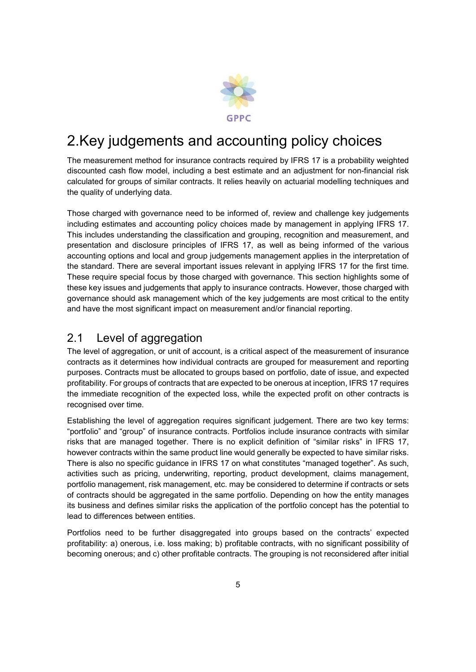

# 2.Key judgements and accounting policy choices

The measurement method for insurance contracts required by IFRS 17 is a probability weighted discounted cash flow model, including a best estimate and an adjustment for non-financial risk calculated for groups of similar contracts. It relies heavily on actuarial modelling techniques and the quality of underlying data.

Those charged with governance need to be informed of, review and challenge key judgements including estimates and accounting policy choices made by management in applying IFRS 17. This includes understanding the classification and grouping, recognition and measurement, and presentation and disclosure principles of IFRS 17, as well as being informed of the various accounting options and local and group judgements management applies in the interpretation of the standard. There are several important issues relevant in applying IFRS 17 for the first time. These require special focus by those charged with governance. This section highlights some of these key issues and judgements that apply to insurance contracts. However, those charged with governance should ask management which of the key judgements are most critical to the entity and have the most significant impact on measurement and/or financial reporting.

### 2.1 Level of aggregation

The level of aggregation, or unit of account, is a critical aspect of the measurement of insurance contracts as it determines how individual contracts are grouped for measurement and reporting purposes. Contracts must be allocated to groups based on portfolio, date of issue, and expected profitability. For groups of contracts that are expected to be onerous at inception, IFRS 17 requires the immediate recognition of the expected loss, while the expected profit on other contracts is recognised over time.

Establishing the level of aggregation requires significant judgement. There are two key terms: "portfolio" and "group" of insurance contracts. Portfolios include insurance contracts with similar risks that are managed together. There is no explicit definition of "similar risks" in IFRS 17, however contracts within the same product line would generally be expected to have similar risks. There is also no specific guidance in IFRS 17 on what constitutes "managed together". As such, activities such as pricing, underwriting, reporting, product development, claims management, portfolio management, risk management, etc. may be considered to determine if contracts or sets of contracts should be aggregated in the same portfolio. Depending on how the entity manages its business and defines similar risks the application of the portfolio concept has the potential to lead to differences between entities.

Portfolios need to be further disaggregated into groups based on the contracts' expected profitability: a) onerous, i.e. loss making; b) profitable contracts, with no significant possibility of becoming onerous; and c) other profitable contracts. The grouping is not reconsidered after initial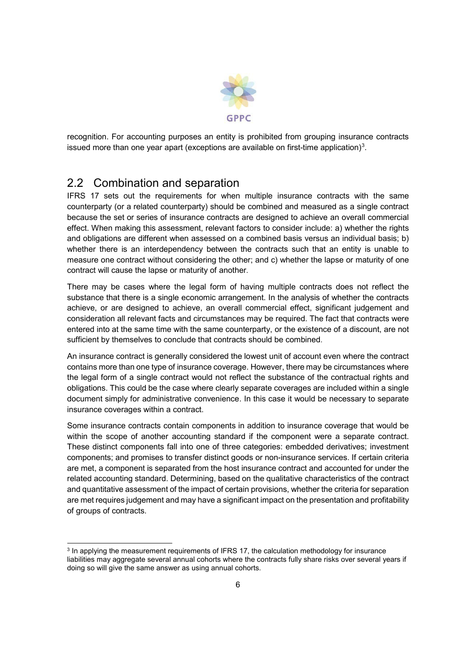

recognition. For accounting purposes an entity is prohibited from grouping insurance contracts issued more than one year apart (exceptions are available on first-time application)<sup>3</sup>.

### 2.2 Combination and separation

IFRS 17 sets out the requirements for when multiple insurance contracts with the same counterparty (or a related counterparty) should be combined and measured as a single contract because the set or series of insurance contracts are designed to achieve an overall commercial effect. When making this assessment, relevant factors to consider include: a) whether the rights and obligations are different when assessed on a combined basis versus an individual basis; b) whether there is an interdependency between the contracts such that an entity is unable to measure one contract without considering the other; and c) whether the lapse or maturity of one contract will cause the lapse or maturity of another.

There may be cases where the legal form of having multiple contracts does not reflect the substance that there is a single economic arrangement. In the analysis of whether the contracts achieve, or are designed to achieve, an overall commercial effect, significant judgement and consideration all relevant facts and circumstances may be required. The fact that contracts were entered into at the same time with the same counterparty, or the existence of a discount, are not sufficient by themselves to conclude that contracts should be combined.

An insurance contract is generally considered the lowest unit of account even where the contract contains more than one type of insurance coverage. However, there may be circumstances where the legal form of a single contract would not reflect the substance of the contractual rights and obligations. This could be the case where clearly separate coverages are included within a single document simply for administrative convenience. In this case it would be necessary to separate insurance coverages within a contract.

Some insurance contracts contain components in addition to insurance coverage that would be within the scope of another accounting standard if the component were a separate contract. These distinct components fall into one of three categories: embedded derivatives; investment components; and promises to transfer distinct goods or non-insurance services. If certain criteria are met, a component is separated from the host insurance contract and accounted for under the related accounting standard. Determining, based on the qualitative characteristics of the contract and quantitative assessment of the impact of certain provisions, whether the criteria for separation are met requires judgement and may have a significant impact on the presentation and profitability of groups of contracts.

 <sup>3</sup> In applying the measurement requirements of IFRS 17, the calculation methodology for insurance liabilities may aggregate several annual cohorts where the contracts fully share risks over several years if doing so will give the same answer as using annual cohorts.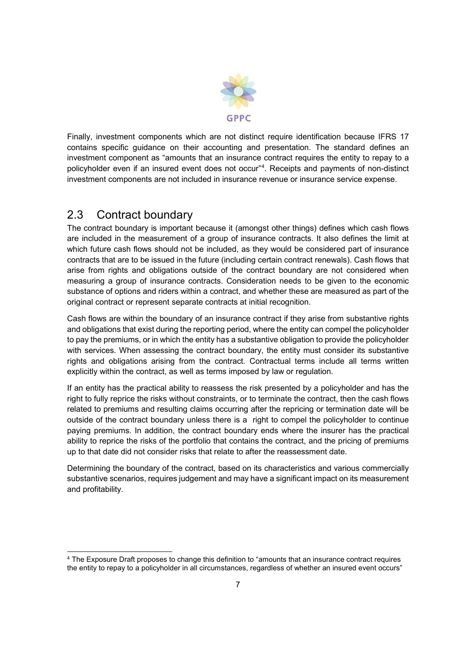

Finally, investment components which are not distinct require identification because IFRS 17 contains specific guidance on their accounting and presentation. The standard defines an investment component as "amounts that an insurance contract requires the entity to repay to a policyholder even if an insured event does not occur"4 . Receipts and payments of non-distinct investment components are not included in insurance revenue or insurance service expense.

## 2.3 Contract boundary

The contract boundary is important because it (amongst other things) defines which cash flows are included in the measurement of a group of insurance contracts. It also defines the limit at which future cash flows should not be included, as they would be considered part of insurance contracts that are to be issued in the future (including certain contract renewals). Cash flows that arise from rights and obligations outside of the contract boundary are not considered when measuring a group of insurance contracts. Consideration needs to be given to the economic substance of options and riders within a contract, and whether these are measured as part of the original contract or represent separate contracts at initial recognition.

Cash flows are within the boundary of an insurance contract if they arise from substantive rights and obligations that exist during the reporting period, where the entity can compel the policyholder to pay the premiums, or in which the entity has a substantive obligation to provide the policyholder with services. When assessing the contract boundary, the entity must consider its substantive rights and obligations arising from the contract. Contractual terms include all terms written explicitly within the contract, as well as terms imposed by law or regulation.

If an entity has the practical ability to reassess the risk presented by a policyholder and has the right to fully reprice the risks without constraints, or to terminate the contract, then the cash flows related to premiums and resulting claims occurring after the repricing or termination date will be outside of the contract boundary unless there is a right to compel the policyholder to continue paying premiums. In addition, the contract boundary ends where the insurer has the practical ability to reprice the risks of the portfolio that contains the contract, and the pricing of premiums up to that date did not consider risks that relate to after the reassessment date.

Determining the boundary of the contract, based on its characteristics and various commercially substantive scenarios, requires judgement and may have a significant impact on its measurement and profitability.

 <sup>4</sup> The Exposure Draft proposes to change this definition to "amounts that an insurance contract requires the entity to repay to a policyholder in all circumstances, regardless of whether an insured event occurs"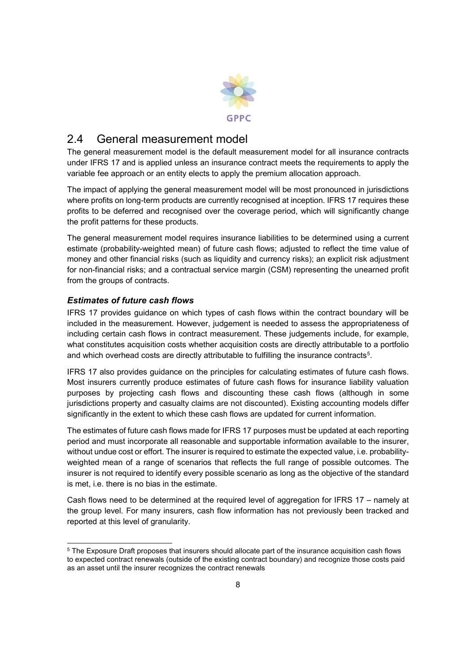

### 2.4 General measurement model

The general measurement model is the default measurement model for all insurance contracts under IFRS 17 and is applied unless an insurance contract meets the requirements to apply the variable fee approach or an entity elects to apply the premium allocation approach.

The impact of applying the general measurement model will be most pronounced in jurisdictions where profits on long-term products are currently recognised at inception. IFRS 17 requires these profits to be deferred and recognised over the coverage period, which will significantly change the profit patterns for these products.

The general measurement model requires insurance liabilities to be determined using a current estimate (probability-weighted mean) of future cash flows; adjusted to reflect the time value of money and other financial risks (such as liquidity and currency risks); an explicit risk adjustment for non-financial risks; and a contractual service margin (CSM) representing the unearned profit from the groups of contracts.

#### *Estimates of future cash flows*

IFRS 17 provides guidance on which types of cash flows within the contract boundary will be included in the measurement. However, judgement is needed to assess the appropriateness of including certain cash flows in contract measurement. These judgements include, for example, what constitutes acquisition costs whether acquisition costs are directly attributable to a portfolio and which overhead costs are directly attributable to fulfilling the insurance contracts<sup>5</sup>.

IFRS 17 also provides guidance on the principles for calculating estimates of future cash flows. Most insurers currently produce estimates of future cash flows for insurance liability valuation purposes by projecting cash flows and discounting these cash flows (although in some jurisdictions property and casualty claims are not discounted). Existing accounting models differ significantly in the extent to which these cash flows are updated for current information.

The estimates of future cash flows made for IFRS 17 purposes must be updated at each reporting period and must incorporate all reasonable and supportable information available to the insurer, without undue cost or effort. The insurer is required to estimate the expected value, i.e. probabilityweighted mean of a range of scenarios that reflects the full range of possible outcomes. The insurer is not required to identify every possible scenario as long as the objective of the standard is met, i.e. there is no bias in the estimate.

Cash flows need to be determined at the required level of aggregation for IFRS 17 – namely at the group level. For many insurers, cash flow information has not previously been tracked and reported at this level of granularity.

 <sup>5</sup> The Exposure Draft proposes that insurers should allocate part of the insurance acquisition cash flows to expected contract renewals (outside of the existing contract boundary) and recognize those costs paid as an asset until the insurer recognizes the contract renewals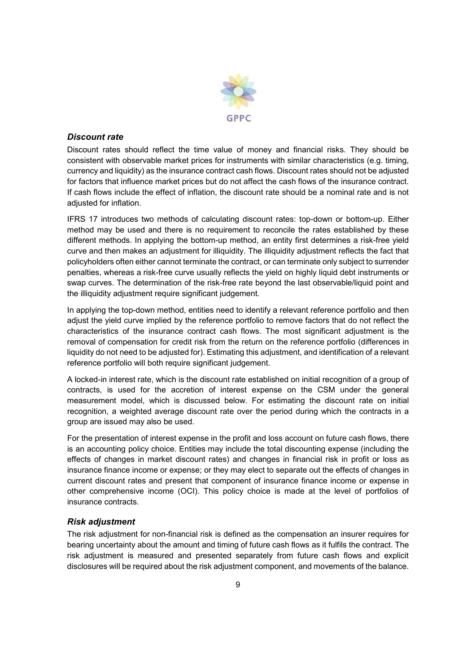

#### *Discount rate*

Discount rates should reflect the time value of money and financial risks. They should be consistent with observable market prices for instruments with similar characteristics (e.g. timing, currency and liquidity) as the insurance contract cash flows. Discount rates should not be adjusted for factors that influence market prices but do not affect the cash flows of the insurance contract. If cash flows include the effect of inflation, the discount rate should be a nominal rate and is not adjusted for inflation.

IFRS 17 introduces two methods of calculating discount rates: top-down or bottom-up. Either method may be used and there is no requirement to reconcile the rates established by these different methods. In applying the bottom-up method, an entity first determines a risk-free yield curve and then makes an adjustment for illiquidity. The illiquidity adjustment reflects the fact that policyholders often either cannot terminate the contract, or can terminate only subject to surrender penalties, whereas a risk-free curve usually reflects the yield on highly liquid debt instruments or swap curves. The determination of the risk-free rate beyond the last observable/liquid point and the illiquidity adjustment require significant judgement.

In applying the top-down method, entities need to identify a relevant reference portfolio and then adjust the yield curve implied by the reference portfolio to remove factors that do not reflect the characteristics of the insurance contract cash flows. The most significant adjustment is the removal of compensation for credit risk from the return on the reference portfolio (differences in liquidity do not need to be adjusted for). Estimating this adjustment, and identification of a relevant reference portfolio will both require significant judgement.

A locked-in interest rate, which is the discount rate established on initial recognition of a group of contracts, is used for the accretion of interest expense on the CSM under the general measurement model, which is discussed below. For estimating the discount rate on initial recognition, a weighted average discount rate over the period during which the contracts in a group are issued may also be used.

For the presentation of interest expense in the profit and loss account on future cash flows, there is an accounting policy choice. Entities may include the total discounting expense (including the effects of changes in market discount rates) and changes in financial risk in profit or loss as insurance finance income or expense; or they may elect to separate out the effects of changes in current discount rates and present that component of insurance finance income or expense in other comprehensive income (OCI). This policy choice is made at the level of portfolios of insurance contracts.

#### *Risk adjustment*

The risk adjustment for non-financial risk is defined as the compensation an insurer requires for bearing uncertainty about the amount and timing of future cash flows as it fulfils the contract. The risk adjustment is measured and presented separately from future cash flows and explicit disclosures will be required about the risk adjustment component, and movements of the balance.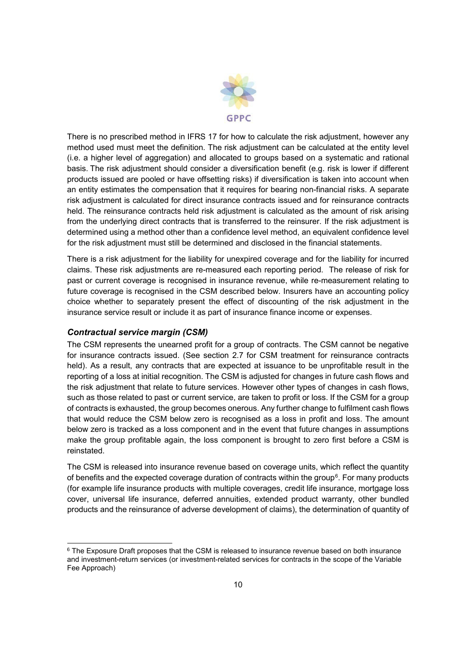

There is no prescribed method in IFRS 17 for how to calculate the risk adjustment, however any method used must meet the definition. The risk adjustment can be calculated at the entity level (i.e. a higher level of aggregation) and allocated to groups based on a systematic and rational basis. The risk adjustment should consider a diversification benefit (e.g. risk is lower if different products issued are pooled or have offsetting risks) if diversification is taken into account when an entity estimates the compensation that it requires for bearing non-financial risks. A separate risk adjustment is calculated for direct insurance contracts issued and for reinsurance contracts held. The reinsurance contracts held risk adjustment is calculated as the amount of risk arising from the underlying direct contracts that is transferred to the reinsurer. If the risk adjustment is determined using a method other than a confidence level method, an equivalent confidence level for the risk adjustment must still be determined and disclosed in the financial statements.

There is a risk adjustment for the liability for unexpired coverage and for the liability for incurred claims. These risk adjustments are re-measured each reporting period. The release of risk for past or current coverage is recognised in insurance revenue, while re-measurement relating to future coverage is recognised in the CSM described below. Insurers have an accounting policy choice whether to separately present the effect of discounting of the risk adjustment in the insurance service result or include it as part of insurance finance income or expenses.

#### *Contractual service margin (CSM)*

The CSM represents the unearned profit for a group of contracts. The CSM cannot be negative for insurance contracts issued. (See section 2.7 for CSM treatment for reinsurance contracts held). As a result, any contracts that are expected at issuance to be unprofitable result in the reporting of a loss at initial recognition. The CSM is adjusted for changes in future cash flows and the risk adjustment that relate to future services. However other types of changes in cash flows, such as those related to past or current service, are taken to profit or loss. If the CSM for a group of contracts is exhausted, the group becomes onerous. Any further change to fulfilment cash flows that would reduce the CSM below zero is recognised as a loss in profit and loss. The amount below zero is tracked as a loss component and in the event that future changes in assumptions make the group profitable again, the loss component is brought to zero first before a CSM is reinstated.

The CSM is released into insurance revenue based on coverage units, which reflect the quantity of benefits and the expected coverage duration of contracts within the group<sup>6</sup>. For many products (for example life insurance products with multiple coverages, credit life insurance, mortgage loss cover, universal life insurance, deferred annuities, extended product warranty, other bundled products and the reinsurance of adverse development of claims), the determination of quantity of

<sup>&</sup>lt;sup>6</sup> The Exposure Draft proposes that the CSM is released to insurance revenue based on both insurance and investment-return services (or investment-related services for contracts in the scope of the Variable Fee Approach)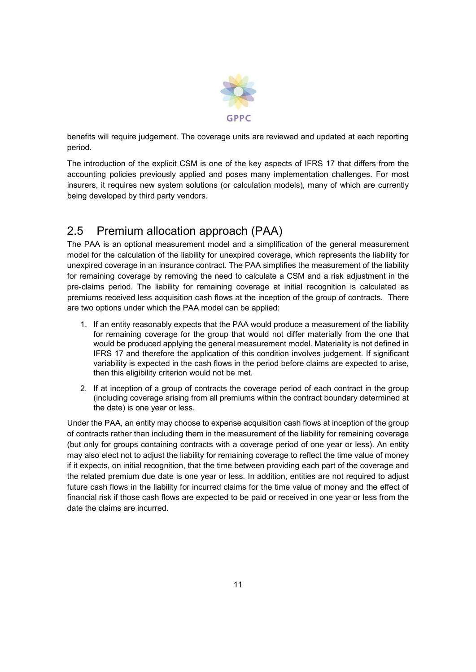

benefits will require judgement. The coverage units are reviewed and updated at each reporting period.

The introduction of the explicit CSM is one of the key aspects of IFRS 17 that differs from the accounting policies previously applied and poses many implementation challenges. For most insurers, it requires new system solutions (or calculation models), many of which are currently being developed by third party vendors.

# 2.5 Premium allocation approach (PAA)

The PAA is an optional measurement model and a simplification of the general measurement model for the calculation of the liability for unexpired coverage, which represents the liability for unexpired coverage in an insurance contract. The PAA simplifies the measurement of the liability for remaining coverage by removing the need to calculate a CSM and a risk adjustment in the pre-claims period. The liability for remaining coverage at initial recognition is calculated as premiums received less acquisition cash flows at the inception of the group of contracts. There are two options under which the PAA model can be applied:

- 1. If an entity reasonably expects that the PAA would produce a measurement of the liability for remaining coverage for the group that would not differ materially from the one that would be produced applying the general measurement model. Materiality is not defined in IFRS 17 and therefore the application of this condition involves judgement. If significant variability is expected in the cash flows in the period before claims are expected to arise, then this eligibility criterion would not be met.
- 2. If at inception of a group of contracts the coverage period of each contract in the group (including coverage arising from all premiums within the contract boundary determined at the date) is one year or less.

Under the PAA, an entity may choose to expense acquisition cash flows at inception of the group of contracts rather than including them in the measurement of the liability for remaining coverage (but only for groups containing contracts with a coverage period of one year or less). An entity may also elect not to adjust the liability for remaining coverage to reflect the time value of money if it expects, on initial recognition, that the time between providing each part of the coverage and the related premium due date is one year or less. In addition, entities are not required to adjust future cash flows in the liability for incurred claims for the time value of money and the effect of financial risk if those cash flows are expected to be paid or received in one year or less from the date the claims are incurred.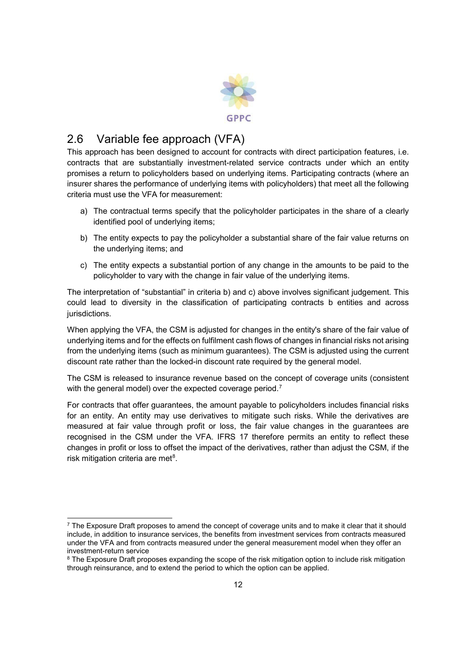

# 2.6 Variable fee approach (VFA)

This approach has been designed to account for contracts with direct participation features, i.e. contracts that are substantially investment-related service contracts under which an entity promises a return to policyholders based on underlying items. Participating contracts (where an insurer shares the performance of underlying items with policyholders) that meet all the following criteria must use the VFA for measurement:

- a) The contractual terms specify that the policyholder participates in the share of a clearly identified pool of underlying items;
- b) The entity expects to pay the policyholder a substantial share of the fair value returns on the underlying items; and
- c) The entity expects a substantial portion of any change in the amounts to be paid to the policyholder to vary with the change in fair value of the underlying items.

The interpretation of "substantial" in criteria b) and c) above involves significant judgement. This could lead to diversity in the classification of participating contracts b entities and across jurisdictions.

When applying the VFA, the CSM is adjusted for changes in the entity's share of the fair value of underlying items and for the effects on fulfilment cash flows of changes in financial risks not arising from the underlying items (such as minimum guarantees). The CSM is adjusted using the current discount rate rather than the locked-in discount rate required by the general model.

The CSM is released to insurance revenue based on the concept of coverage units (consistent with the general model) over the expected coverage period.<sup>7</sup>

For contracts that offer guarantees, the amount payable to policyholders includes financial risks for an entity. An entity may use derivatives to mitigate such risks. While the derivatives are measured at fair value through profit or loss, the fair value changes in the guarantees are recognised in the CSM under the VFA. IFRS 17 therefore permits an entity to reflect these changes in profit or loss to offset the impact of the derivatives, rather than adjust the CSM, if the risk mitigation criteria are met $8$ .

 $7$  The Exposure Draft proposes to amend the concept of coverage units and to make it clear that it should include, in addition to insurance services, the benefits from investment services from contracts measured under the VFA and from contracts measured under the general measurement model when they offer an investment-return service

<sup>&</sup>lt;sup>8</sup> The Exposure Draft proposes expanding the scope of the risk mitigation option to include risk mitigation through reinsurance, and to extend the period to which the option can be applied.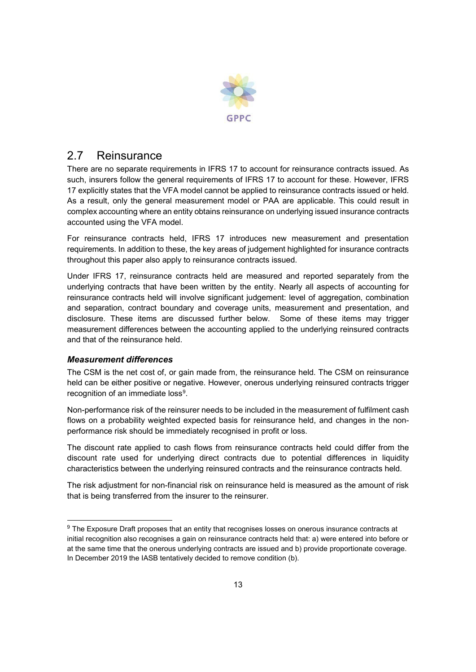

### 2.7 Reinsurance

There are no separate requirements in IFRS 17 to account for reinsurance contracts issued. As such, insurers follow the general requirements of IFRS 17 to account for these. However, IFRS 17 explicitly states that the VFA model cannot be applied to reinsurance contracts issued or held. As a result, only the general measurement model or PAA are applicable. This could result in complex accounting where an entity obtains reinsurance on underlying issued insurance contracts accounted using the VFA model.

For reinsurance contracts held, IFRS 17 introduces new measurement and presentation requirements. In addition to these, the key areas of judgement highlighted for insurance contracts throughout this paper also apply to reinsurance contracts issued.

Under IFRS 17, reinsurance contracts held are measured and reported separately from the underlying contracts that have been written by the entity. Nearly all aspects of accounting for reinsurance contracts held will involve significant judgement: level of aggregation, combination and separation, contract boundary and coverage units, measurement and presentation, and disclosure. These items are discussed further below. Some of these items may trigger measurement differences between the accounting applied to the underlying reinsured contracts and that of the reinsurance held.

#### *Measurement differences*

The CSM is the net cost of, or gain made from, the reinsurance held. The CSM on reinsurance held can be either positive or negative. However, onerous underlying reinsured contracts trigger recognition of an immediate loss<sup>9</sup>.

Non-performance risk of the reinsurer needs to be included in the measurement of fulfilment cash flows on a probability weighted expected basis for reinsurance held, and changes in the nonperformance risk should be immediately recognised in profit or loss.

The discount rate applied to cash flows from reinsurance contracts held could differ from the discount rate used for underlying direct contracts due to potential differences in liquidity characteristics between the underlying reinsured contracts and the reinsurance contracts held.

The risk adjustment for non-financial risk on reinsurance held is measured as the amount of risk that is being transferred from the insurer to the reinsurer.

<sup>&</sup>lt;sup>9</sup> The Exposure Draft proposes that an entity that recognises losses on onerous insurance contracts at initial recognition also recognises a gain on reinsurance contracts held that: a) were entered into before or at the same time that the onerous underlying contracts are issued and b) provide proportionate coverage. In December 2019 the IASB tentatively decided to remove condition (b).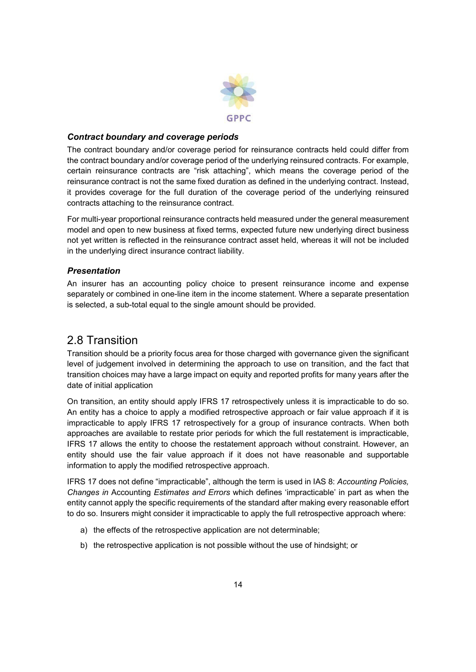

#### *Contract boundary and coverage periods*

The contract boundary and/or coverage period for reinsurance contracts held could differ from the contract boundary and/or coverage period of the underlying reinsured contracts. For example, certain reinsurance contracts are "risk attaching", which means the coverage period of the reinsurance contract is not the same fixed duration as defined in the underlying contract. Instead, it provides coverage for the full duration of the coverage period of the underlying reinsured contracts attaching to the reinsurance contract.

For multi-year proportional reinsurance contracts held measured under the general measurement model and open to new business at fixed terms, expected future new underlying direct business not yet written is reflected in the reinsurance contract asset held, whereas it will not be included in the underlying direct insurance contract liability.

#### *Presentation*

An insurer has an accounting policy choice to present reinsurance income and expense separately or combined in one-line item in the income statement. Where a separate presentation is selected, a sub-total equal to the single amount should be provided.

### 2.8 Transition

Transition should be a priority focus area for those charged with governance given the significant level of judgement involved in determining the approach to use on transition, and the fact that transition choices may have a large impact on equity and reported profits for many years after the date of initial application

On transition, an entity should apply IFRS 17 retrospectively unless it is impracticable to do so. An entity has a choice to apply a modified retrospective approach or fair value approach if it is impracticable to apply IFRS 17 retrospectively for a group of insurance contracts. When both approaches are available to restate prior periods for which the full restatement is impracticable, IFRS 17 allows the entity to choose the restatement approach without constraint. However, an entity should use the fair value approach if it does not have reasonable and supportable information to apply the modified retrospective approach.

IFRS 17 does not define "impracticable", although the term is used in IAS 8: *Accounting Policies, Changes in* Accounting *Estimates and Errors* which defines 'impracticable' in part as when the entity cannot apply the specific requirements of the standard after making every reasonable effort to do so. Insurers might consider it impracticable to apply the full retrospective approach where:

- a) the effects of the retrospective application are not determinable;
- b) the retrospective application is not possible without the use of hindsight; or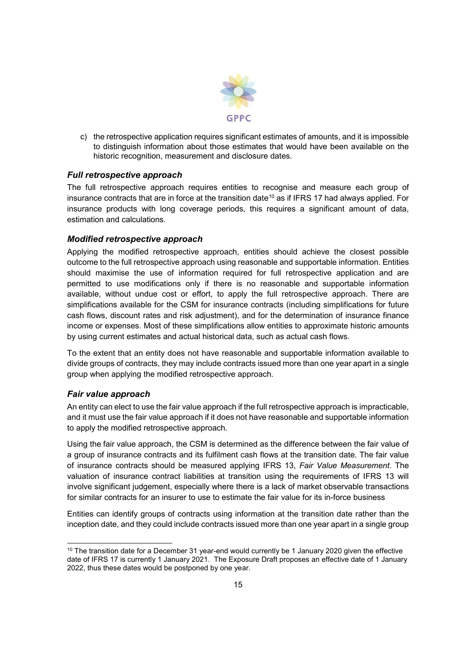

c) the retrospective application requires significant estimates of amounts, and it is impossible to distinguish information about those estimates that would have been available on the historic recognition, measurement and disclosure dates.

#### *Full retrospective approach*

The full retrospective approach requires entities to recognise and measure each group of insurance contracts that are in force at the transition date<sup>10</sup> as if IFRS 17 had always applied. For insurance products with long coverage periods, this requires a significant amount of data, estimation and calculations.

#### *Modified retrospective approach*

Applying the modified retrospective approach, entities should achieve the closest possible outcome to the full retrospective approach using reasonable and supportable information. Entities should maximise the use of information required for full retrospective application and are permitted to use modifications only if there is no reasonable and supportable information available, without undue cost or effort, to apply the full retrospective approach. There are simplifications available for the CSM for insurance contracts (including simplifications for future cash flows, discount rates and risk adjustment), and for the determination of insurance finance income or expenses. Most of these simplifications allow entities to approximate historic amounts by using current estimates and actual historical data, such as actual cash flows.

To the extent that an entity does not have reasonable and supportable information available to divide groups of contracts, they may include contracts issued more than one year apart in a single group when applying the modified retrospective approach.

#### *Fair value approach*

An entity can elect to use the fair value approach if the full retrospective approach is impracticable, and it must use the fair value approach if it does not have reasonable and supportable information to apply the modified retrospective approach.

Using the fair value approach, the CSM is determined as the difference between the fair value of a group of insurance contracts and its fulfilment cash flows at the transition date. The fair value of insurance contracts should be measured applying IFRS 13, *Fair Value Measurement*. The valuation of insurance contract liabilities at transition using the requirements of IFRS 13 will involve significant judgement, especially where there is a lack of market observable transactions for similar contracts for an insurer to use to estimate the fair value for its in-force business

Entities can identify groups of contracts using information at the transition date rather than the inception date, and they could include contracts issued more than one year apart in a single group

 $10$  The transition date for a December 31 year-end would currently be 1 January 2020 given the effective date of IFRS 17 is currently 1 January 2021. The Exposure Draft proposes an effective date of 1 January 2022, thus these dates would be postponed by one year.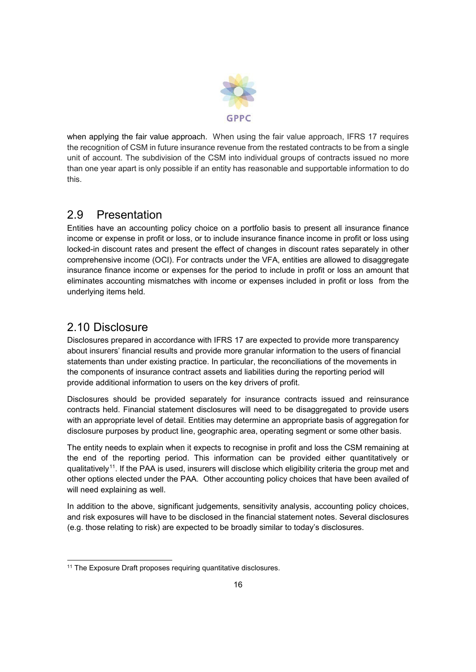

when applying the fair value approach. When using the fair value approach, IFRS 17 requires the recognition of CSM in future insurance revenue from the restated contracts to be from a single unit of account. The subdivision of the CSM into individual groups of contracts issued no more than one year apart is only possible if an entity has reasonable and supportable information to do this.

## 2.9 Presentation

Entities have an accounting policy choice on a portfolio basis to present all insurance finance income or expense in profit or loss, or to include insurance finance income in profit or loss using locked-in discount rates and present the effect of changes in discount rates separately in other comprehensive income (OCI). For contracts under the VFA, entities are allowed to disaggregate insurance finance income or expenses for the period to include in profit or loss an amount that eliminates accounting mismatches with income or expenses included in profit or loss from the underlying items held.

## 2.10 Disclosure

Disclosures prepared in accordance with IFRS 17 are expected to provide more transparency about insurers' financial results and provide more granular information to the users of financial statements than under existing practice. In particular, the reconciliations of the movements in the components of insurance contract assets and liabilities during the reporting period will provide additional information to users on the key drivers of profit.

Disclosures should be provided separately for insurance contracts issued and reinsurance contracts held. Financial statement disclosures will need to be disaggregated to provide users with an appropriate level of detail. Entities may determine an appropriate basis of aggregation for disclosure purposes by product line, geographic area, operating segment or some other basis.

The entity needs to explain when it expects to recognise in profit and loss the CSM remaining at the end of the reporting period. This information can be provided either quantitatively or qualitatively<sup>11</sup>. If the PAA is used, insurers will disclose which eligibility criteria the group met and other options elected under the PAA. Other accounting policy choices that have been availed of will need explaining as well.

In addition to the above, significant judgements, sensitivity analysis, accounting policy choices, and risk exposures will have to be disclosed in the financial statement notes. Several disclosures (e.g. those relating to risk) are expected to be broadly similar to today's disclosures.

<sup>&</sup>lt;sup>11</sup> The Exposure Draft proposes requiring quantitative disclosures.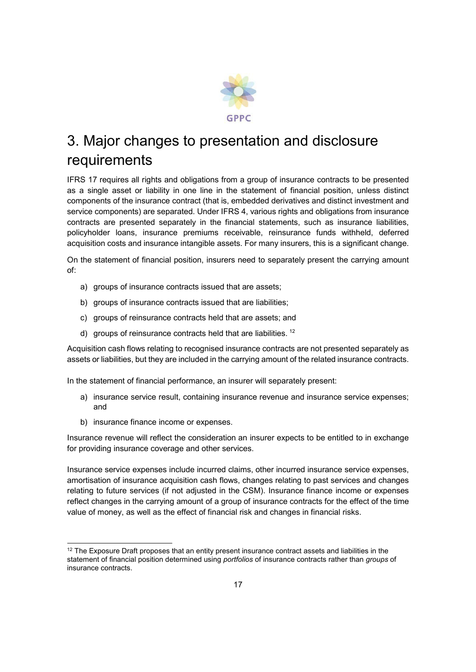

# 3. Major changes to presentation and disclosure requirements

IFRS 17 requires all rights and obligations from a group of insurance contracts to be presented as a single asset or liability in one line in the statement of financial position, unless distinct components of the insurance contract (that is, embedded derivatives and distinct investment and service components) are separated. Under IFRS 4, various rights and obligations from insurance contracts are presented separately in the financial statements, such as insurance liabilities, policyholder loans, insurance premiums receivable, reinsurance funds withheld, deferred acquisition costs and insurance intangible assets. For many insurers, this is a significant change.

On the statement of financial position, insurers need to separately present the carrying amount of:

- a) groups of insurance contracts issued that are assets;
- b) groups of insurance contracts issued that are liabilities;
- c) groups of reinsurance contracts held that are assets; and
- d) groups of reinsurance contracts held that are liabilities.<sup>12</sup>

Acquisition cash flows relating to recognised insurance contracts are not presented separately as assets or liabilities, but they are included in the carrying amount of the related insurance contracts.

In the statement of financial performance, an insurer will separately present:

- a) insurance service result, containing insurance revenue and insurance service expenses; and
- b) insurance finance income or expenses.

Insurance revenue will reflect the consideration an insurer expects to be entitled to in exchange for providing insurance coverage and other services.

Insurance service expenses include incurred claims, other incurred insurance service expenses, amortisation of insurance acquisition cash flows, changes relating to past services and changes relating to future services (if not adjusted in the CSM). Insurance finance income or expenses reflect changes in the carrying amount of a group of insurance contracts for the effect of the time value of money, as well as the effect of financial risk and changes in financial risks.

<sup>&</sup>lt;sup>12</sup> The Exposure Draft proposes that an entity present insurance contract assets and liabilities in the statement of financial position determined using *portfolios* of insurance contracts rather than *groups* of insurance contracts.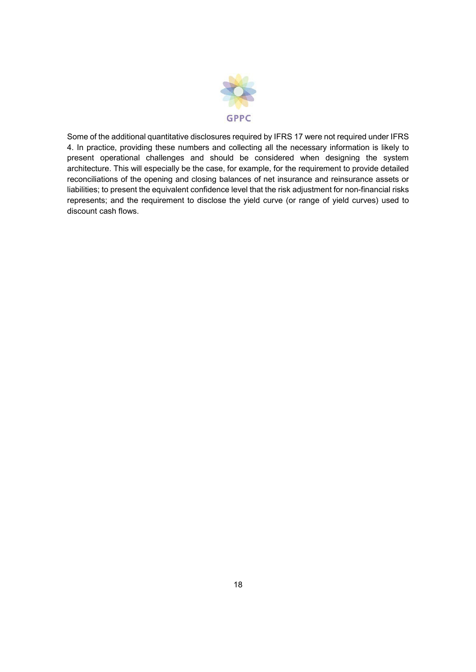

Some of the additional quantitative disclosures required by IFRS 17 were not required under IFRS 4. In practice, providing these numbers and collecting all the necessary information is likely to present operational challenges and should be considered when designing the system architecture. This will especially be the case, for example, for the requirement to provide detailed reconciliations of the opening and closing balances of net insurance and reinsurance assets or liabilities; to present the equivalent confidence level that the risk adjustment for non-financial risks represents; and the requirement to disclose the yield curve (or range of yield curves) used to discount cash flows.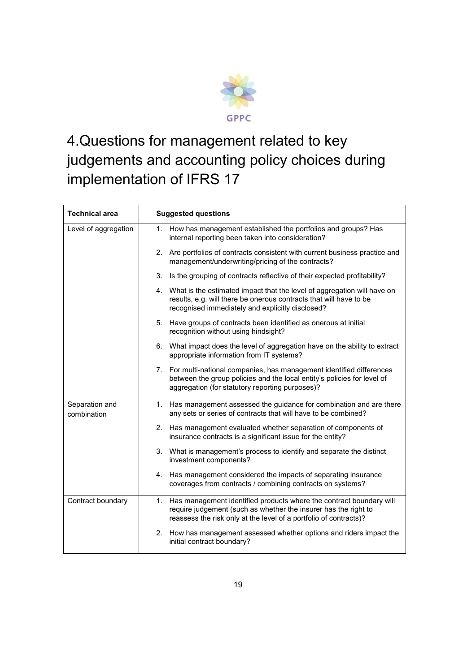

# 4.Questions for management related to key judgements and accounting policy choices during implementation of IFRS 17

| <b>Technical area</b>         | <b>Suggested questions</b>                                                                                                                                                                                     |  |
|-------------------------------|----------------------------------------------------------------------------------------------------------------------------------------------------------------------------------------------------------------|--|
| Level of aggregation          | 1. How has management established the portfolios and groups? Has<br>internal reporting been taken into consideration?                                                                                          |  |
|                               | 2. Are portfolios of contracts consistent with current business practice and<br>management/underwriting/pricing of the contracts?                                                                              |  |
|                               | 3. Is the grouping of contracts reflective of their expected profitability?                                                                                                                                    |  |
|                               | 4. What is the estimated impact that the level of aggregation will have on<br>results, e.g. will there be onerous contracts that will have to be<br>recognised immediately and explicitly disclosed?           |  |
|                               | 5. Have groups of contracts been identified as onerous at initial<br>recognition without using hindsight?                                                                                                      |  |
|                               | 6. What impact does the level of aggregation have on the ability to extract<br>appropriate information from IT systems?                                                                                        |  |
|                               | 7. For multi-national companies, has management identified differences<br>between the group policies and the local entity's policies for level of<br>aggregation (for statutory reporting purposes)?           |  |
| Separation and<br>combination | 1. Has management assessed the guidance for combination and are there<br>any sets or series of contracts that will have to be combined?                                                                        |  |
|                               | 2. Has management evaluated whether separation of components of<br>insurance contracts is a significant issue for the entity?                                                                                  |  |
|                               | 3. What is management's process to identify and separate the distinct<br>investment components?                                                                                                                |  |
|                               | 4. Has management considered the impacts of separating insurance<br>coverages from contracts / combining contracts on systems?                                                                                 |  |
| Contract boundary             | 1. Has management identified products where the contract boundary will<br>require judgement (such as whether the insurer has the right to<br>reassess the risk only at the level of a portfolio of contracts)? |  |
|                               | 2. How has management assessed whether options and riders impact the<br>initial contract boundary?                                                                                                             |  |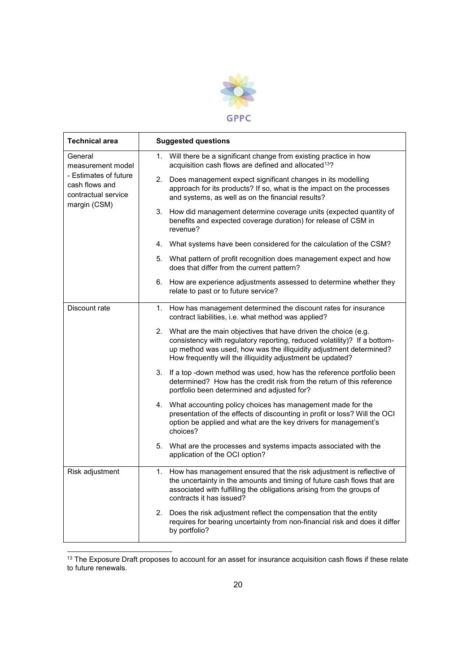

| <b>Technical area</b>                                                                                          | <b>Suggested questions</b>                                                                                                                                                                                                                                                        |
|----------------------------------------------------------------------------------------------------------------|-----------------------------------------------------------------------------------------------------------------------------------------------------------------------------------------------------------------------------------------------------------------------------------|
| General<br>measurement model<br>- Estimates of future<br>cash flows and<br>contractual service<br>margin (CSM) | Will there be a significant change from existing practice in how<br>1.<br>acquisition cash flows are defined and allocated <sup>13</sup> ?                                                                                                                                        |
|                                                                                                                | 2. Does management expect significant changes in its modelling<br>approach for its products? If so, what is the impact on the processes<br>and systems, as well as on the financial results?                                                                                      |
|                                                                                                                | 3. How did management determine coverage units (expected quantity of<br>benefits and expected coverage duration) for release of CSM in<br>revenue?                                                                                                                                |
|                                                                                                                | 4. What systems have been considered for the calculation of the CSM?                                                                                                                                                                                                              |
|                                                                                                                | 5. What pattern of profit recognition does management expect and how<br>does that differ from the current pattern?                                                                                                                                                                |
|                                                                                                                | 6. How are experience adjustments assessed to determine whether they<br>relate to past or to future service?                                                                                                                                                                      |
| Discount rate                                                                                                  | 1. How has management determined the discount rates for insurance<br>contract liabilities, i.e. what method was applied?                                                                                                                                                          |
|                                                                                                                | 2. What are the main objectives that have driven the choice (e.g.<br>consistency with regulatory reporting, reduced volatility)? If a bottom-<br>up method was used, how was the illiquidity adjustment determined?<br>How frequently will the illiquidity adjustment be updated? |
|                                                                                                                | 3. If a top -down method was used, how has the reference portfolio been<br>determined? How has the credit risk from the return of this reference<br>portfolio been determined and adjusted for?                                                                                   |
|                                                                                                                | 4. What accounting policy choices has management made for the<br>presentation of the effects of discounting in profit or loss? Will the OCI<br>option be applied and what are the key drivers for management's<br>choices?                                                        |
|                                                                                                                | 5. What are the processes and systems impacts associated with the<br>application of the OCI option?                                                                                                                                                                               |
| Risk adjustment                                                                                                | 1. How has management ensured that the risk adjustment is reflective of<br>the uncertainty in the amounts and timing of future cash flows that are<br>associated with fulfilling the obligations arising from the groups of<br>contracts it has issued?                           |
|                                                                                                                | 2. Does the risk adjustment reflect the compensation that the entity<br>requires for bearing uncertainty from non-financial risk and does it differ<br>by portfolio?                                                                                                              |

<sup>————————————————————&</sup>lt;br><sup>13</sup> The Exposure Draft proposes to account for an asset for insurance acquisition cash flows if these relate to future renewals.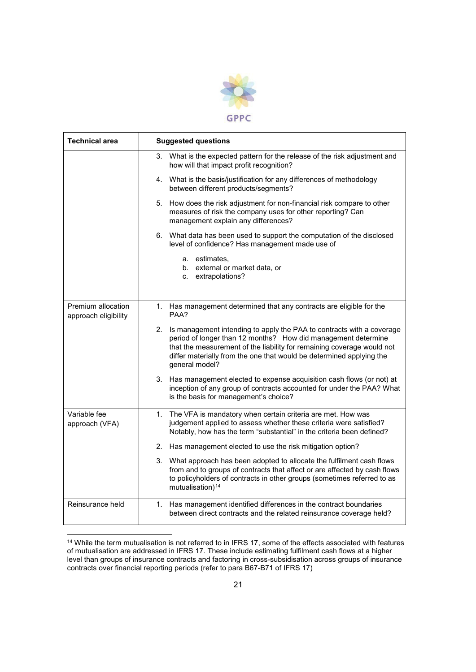

| <b>Technical area</b>                      | <b>Suggested questions</b>                                                                                                                                                                                                                                                                                    |
|--------------------------------------------|---------------------------------------------------------------------------------------------------------------------------------------------------------------------------------------------------------------------------------------------------------------------------------------------------------------|
|                                            | 3. What is the expected pattern for the release of the risk adjustment and<br>how will that impact profit recognition?                                                                                                                                                                                        |
|                                            | 4. What is the basis/justification for any differences of methodology<br>between different products/segments?                                                                                                                                                                                                 |
|                                            | 5. How does the risk adjustment for non-financial risk compare to other<br>measures of risk the company uses for other reporting? Can<br>management explain any differences?                                                                                                                                  |
|                                            | 6. What data has been used to support the computation of the disclosed<br>level of confidence? Has management made use of                                                                                                                                                                                     |
|                                            | a. estimates,<br>b. external or market data, or<br>c. extrapolations?                                                                                                                                                                                                                                         |
| Premium allocation<br>approach eligibility | 1. Has management determined that any contracts are eligible for the<br>PAA?                                                                                                                                                                                                                                  |
|                                            | 2. Is management intending to apply the PAA to contracts with a coverage<br>period of longer than 12 months? How did management determine<br>that the measurement of the liability for remaining coverage would not<br>differ materially from the one that would be determined applying the<br>general model? |
|                                            | 3. Has management elected to expense acquisition cash flows (or not) at<br>inception of any group of contracts accounted for under the PAA? What<br>is the basis for management's choice?                                                                                                                     |
| Variable fee<br>approach (VFA)             | 1. The VFA is mandatory when certain criteria are met. How was<br>judgement applied to assess whether these criteria were satisfied?<br>Notably, how has the term "substantial" in the criteria been defined?                                                                                                 |
|                                            | 2. Has management elected to use the risk mitigation option?                                                                                                                                                                                                                                                  |
|                                            | 3. What approach has been adopted to allocate the fulfilment cash flows<br>from and to groups of contracts that affect or are affected by cash flows<br>to policyholders of contracts in other groups (sometimes referred to as<br>mutualisation) <sup>14</sup>                                               |
| Reinsurance held                           | Has management identified differences in the contract boundaries<br>1.<br>between direct contracts and the related reinsurance coverage held?                                                                                                                                                                 |

 <sup>14</sup> While the term mutualisation is not referred to in IFRS 17, some of the effects associated with features of mutualisation are addressed in IFRS 17. These include estimating fulfilment cash flows at a higher level than groups of insurance contracts and factoring in cross-subsidisation across groups of insurance contracts over financial reporting periods (refer to para B67-B71 of IFRS 17)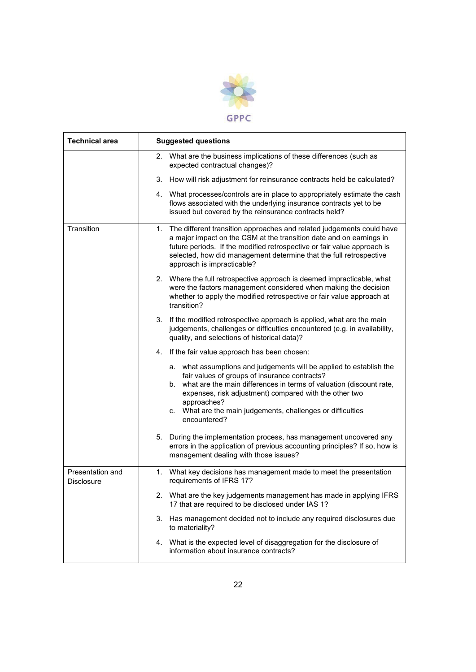

| <b>Technical area</b>                 | <b>Suggested questions</b>                                                                                                                                                                                                                                                                                                                             |
|---------------------------------------|--------------------------------------------------------------------------------------------------------------------------------------------------------------------------------------------------------------------------------------------------------------------------------------------------------------------------------------------------------|
|                                       | 2. What are the business implications of these differences (such as<br>expected contractual changes)?                                                                                                                                                                                                                                                  |
|                                       | 3. How will risk adjustment for reinsurance contracts held be calculated?                                                                                                                                                                                                                                                                              |
|                                       | 4. What processes/controls are in place to appropriately estimate the cash<br>flows associated with the underlying insurance contracts yet to be<br>issued but covered by the reinsurance contracts held?                                                                                                                                              |
| Transition                            | 1. The different transition approaches and related judgements could have<br>a major impact on the CSM at the transition date and on earnings in<br>future periods. If the modified retrospective or fair value approach is<br>selected, how did management determine that the full retrospective<br>approach is impracticable?                         |
|                                       | 2. Where the full retrospective approach is deemed impracticable, what<br>were the factors management considered when making the decision<br>whether to apply the modified retrospective or fair value approach at<br>transition?                                                                                                                      |
|                                       | 3. If the modified retrospective approach is applied, what are the main<br>judgements, challenges or difficulties encountered (e.g. in availability,<br>quality, and selections of historical data)?                                                                                                                                                   |
|                                       | 4. If the fair value approach has been chosen:                                                                                                                                                                                                                                                                                                         |
|                                       | a. what assumptions and judgements will be applied to establish the<br>fair values of groups of insurance contracts?<br>b. what are the main differences in terms of valuation (discount rate,<br>expenses, risk adjustment) compared with the other two<br>approaches?<br>c. What are the main judgements, challenges or difficulties<br>encountered? |
|                                       | 5. During the implementation process, has management uncovered any<br>errors in the application of previous accounting principles? If so, how is<br>management dealing with those issues?                                                                                                                                                              |
| Presentation and<br><b>Disclosure</b> | 1.<br>What key decisions has management made to meet the presentation<br>requirements of IFRS 17?                                                                                                                                                                                                                                                      |
|                                       | 2. What are the key judgements management has made in applying IFRS<br>17 that are required to be disclosed under IAS 1?                                                                                                                                                                                                                               |
|                                       | Has management decided not to include any required disclosures due<br>3.<br>to materiality?                                                                                                                                                                                                                                                            |
|                                       | 4. What is the expected level of disaggregation for the disclosure of<br>information about insurance contracts?                                                                                                                                                                                                                                        |